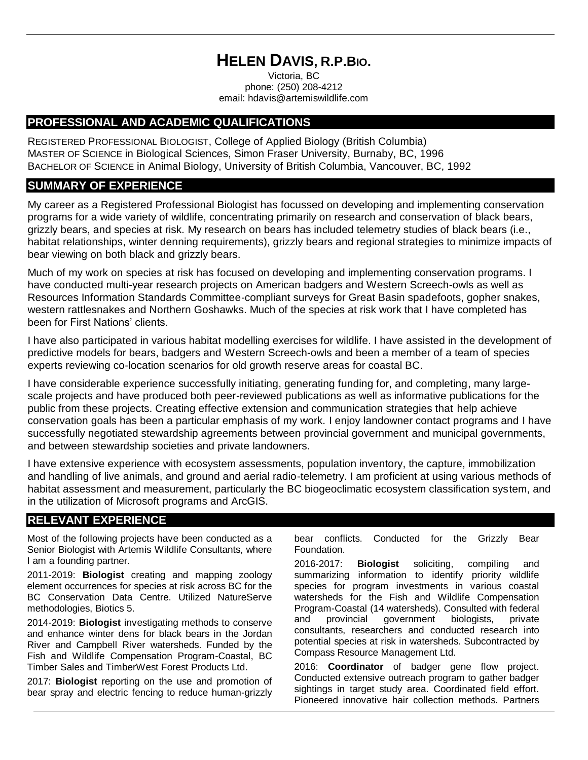# **HELEN DAVIS, R.P.BIO.**

Victoria, BC phone: (250) 208-4212 email: hdavis@artemiswildlife.com

## **PROFESSIONAL AND ACADEMIC QUALIFICATIONS**

REGISTERED PROFESSIONAL BIOLOGIST, College of Applied Biology (British Columbia) MASTER OF SCIENCE in Biological Sciences, Simon Fraser University, Burnaby, BC, 1996 BACHELOR OF SCIENCE in Animal Biology, University of British Columbia, Vancouver, BC, 1992

## **SUMMARY OF EXPERIENCE**

My career as a Registered Professional Biologist has focussed on developing and implementing conservation programs for a wide variety of wildlife, concentrating primarily on research and conservation of black bears, grizzly bears, and species at risk. My research on bears has included telemetry studies of black bears (i.e., habitat relationships, winter denning requirements), grizzly bears and regional strategies to minimize impacts of bear viewing on both black and grizzly bears.

Much of my work on species at risk has focused on developing and implementing conservation programs. I have conducted multi-year research projects on American badgers and Western Screech-owls as well as Resources Information Standards Committee-compliant surveys for Great Basin spadefoots, gopher snakes, western rattlesnakes and Northern Goshawks. Much of the species at risk work that I have completed has been for First Nations' clients.

I have also participated in various habitat modelling exercises for wildlife. I have assisted in the development of predictive models for bears, badgers and Western Screech-owls and been a member of a team of species experts reviewing co-location scenarios for old growth reserve areas for coastal BC.

I have considerable experience successfully initiating, generating funding for, and completing, many largescale projects and have produced both peer-reviewed publications as well as informative publications for the public from these projects. Creating effective extension and communication strategies that help achieve conservation goals has been a particular emphasis of my work. I enjoy landowner contact programs and I have successfully negotiated stewardship agreements between provincial government and municipal governments, and between stewardship societies and private landowners.

I have extensive experience with ecosystem assessments, population inventory, the capture, immobilization and handling of live animals, and ground and aerial radio-telemetry. I am proficient at using various methods of habitat assessment and measurement, particularly the BC biogeoclimatic ecosystem classification system, and in the utilization of Microsoft programs and ArcGIS.

# **RELEVANT EXPERIENCE**

Most of the following projects have been conducted as a Senior Biologist with Artemis Wildlife Consultants, where I am a founding partner.

2011-2019: **Biologist** creating and mapping zoology element occurrences for species at risk across BC for the BC Conservation Data Centre. Utilized NatureServe methodologies, Biotics 5.

2014-2019: **Biologist** investigating methods to conserve and enhance winter dens for black bears in the Jordan River and Campbell River watersheds. Funded by the Fish and Wildlife Compensation Program-Coastal, BC Timber Sales and TimberWest Forest Products Ltd.

2017: **Biologist** reporting on the use and promotion of bear spray and electric fencing to reduce human-grizzly bear conflicts. Conducted for the Grizzly Bear Foundation.

2016-2017: **Biologist** soliciting, compiling and summarizing information to identify priority wildlife species for program investments in various coastal watersheds for the Fish and Wildlife Compensation Program-Coastal (14 watersheds). Consulted with federal and provincial government biologists, private consultants, researchers and conducted research into potential species at risk in watersheds. Subcontracted by Compass Resource Management Ltd.

2016: **Coordinator** of badger gene flow project. Conducted extensive outreach program to gather badger sightings in target study area. Coordinated field effort. Pioneered innovative hair collection methods. Partners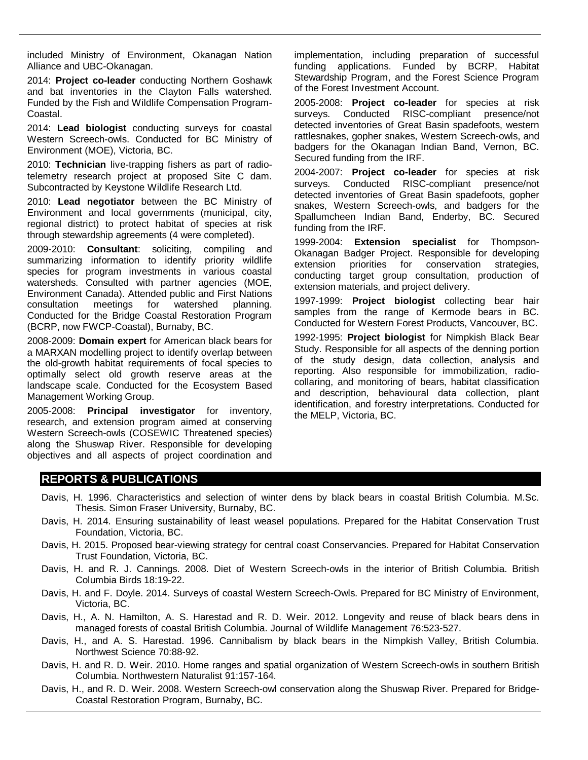included Ministry of Environment, Okanagan Nation Alliance and UBC-Okanagan.

2014: **Project co-leader** conducting Northern Goshawk and bat inventories in the Clayton Falls watershed. Funded by the Fish and Wildlife Compensation Program-Coastal.

2014: **Lead biologist** conducting surveys for coastal Western Screech-owls. Conducted for BC Ministry of Environment (MOE), Victoria, BC.

2010: **Technician** live-trapping fishers as part of radiotelemetry research project at proposed Site C dam. Subcontracted by Keystone Wildlife Research Ltd.

2010: **Lead negotiator** between the BC Ministry of Environment and local governments (municipal, city, regional district) to protect habitat of species at risk through stewardship agreements (4 were completed).

2009-2010: **Consultant**: soliciting, compiling and summarizing information to identify priority wildlife species for program investments in various coastal watersheds. Consulted with partner agencies (MOE, Environment Canada). Attended public and First Nations consultation meetings for watershed planning. Conducted for the Bridge Coastal Restoration Program (BCRP, now FWCP-Coastal), Burnaby, BC.

2008-2009: **Domain expert** for American black bears for a MARXAN modelling project to identify overlap between the old-growth habitat requirements of focal species to optimally select old growth reserve areas at the landscape scale. Conducted for the Ecosystem Based Management Working Group.

2005-2008: **Principal investigator** for inventory, research, and extension program aimed at conserving Western Screech-owls (COSEWIC Threatened species) along the Shuswap River. Responsible for developing objectives and all aspects of project coordination and

implementation, including preparation of successful funding applications. Funded by BCRP, Habitat Stewardship Program, and the Forest Science Program of the Forest Investment Account.

2005-2008: **Project co-leader** for species at risk surveys. Conducted RISC-compliant presence/not detected inventories of Great Basin spadefoots, western rattlesnakes, gopher snakes, Western Screech-owls, and badgers for the Okanagan Indian Band, Vernon, BC. Secured funding from the IRF.

2004-2007: **Project co-leader** for species at risk surveys. Conducted RISC-compliant presence/not detected inventories of Great Basin spadefoots, gopher snakes, Western Screech-owls, and badgers for the Spallumcheen Indian Band, Enderby, BC. Secured funding from the IRF.

1999-2004: **Extension specialist** for Thompson-Okanagan Badger Project. Responsible for developing extension priorities for conservation strategies, conducting target group consultation, production of extension materials, and project delivery.

1997-1999: **Project biologist** collecting bear hair samples from the range of Kermode bears in BC. Conducted for Western Forest Products, Vancouver, BC.

1992-1995: **Project biologist** for Nimpkish Black Bear Study. Responsible for all aspects of the denning portion of the study design, data collection, analysis and reporting. Also responsible for immobilization, radiocollaring, and monitoring of bears, habitat classification and description, behavioural data collection, plant identification, and forestry interpretations. Conducted for the MELP, Victoria, BC.

### **REPORTS & PUBLICATIONS**

- Davis, H. 1996. Characteristics and selection of winter dens by black bears in coastal British Columbia. M.Sc. Thesis. Simon Fraser University, Burnaby, BC.
- Davis, H. 2014. Ensuring sustainability of least weasel populations. Prepared for the Habitat Conservation Trust Foundation, Victoria, BC.
- Davis, H. 2015. Proposed bear-viewing strategy for central coast Conservancies. Prepared for Habitat Conservation Trust Foundation, Victoria, BC.
- Davis, H. and R. J. Cannings. 2008. Diet of Western Screech-owls in the interior of British Columbia. British Columbia Birds 18:19-22.
- Davis, H. and F. Doyle. 2014. Surveys of coastal Western Screech-Owls. Prepared for BC Ministry of Environment, Victoria, BC.
- Davis, H., A. N. Hamilton, A. S. Harestad and R. D. Weir. 2012. Longevity and reuse of black bears dens in managed forests of coastal British Columbia. Journal of Wildlife Management 76:523-527.
- Davis, H., and A. S. Harestad. 1996. Cannibalism by black bears in the Nimpkish Valley, British Columbia. Northwest Science 70:88-92.
- Davis, H. and R. D. Weir. 2010. Home ranges and spatial organization of Western Screech-owls in southern British Columbia. Northwestern Naturalist 91:157-164.
- Davis, H., and R. D. Weir. 2008. Western Screech-owl conservation along the Shuswap River. Prepared for Bridge-Coastal Restoration Program, Burnaby, BC.